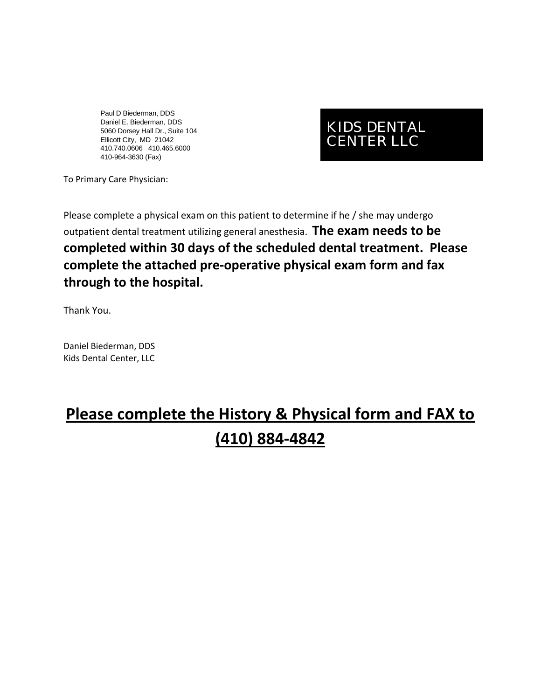Paul D Biederman, DDS Daniel E. Biederman, DDS 5060 Dorsey Hall Dr., Suite 104 Ellicott City, MD 21042 410.740.0606 410.465.6000 410-964-3630 (Fax)

### KIDS DENTAL CENTER LLC

To Primary Care Physician:

Please complete a physical exam on this patient to determine if he / she may undergo outpatient dental treatment utilizing general anesthesia. **The exam needs to be completed within 30 days of the scheduled dental treatment. Please complete the attached pre‐operative physical exam form and fax through to the hospital.**

Thank You.

Daniel Biederman, DDS Kids Dental Center, LLC

# **Please complete the History & Physical form and FAX to (410) 884‐4842**